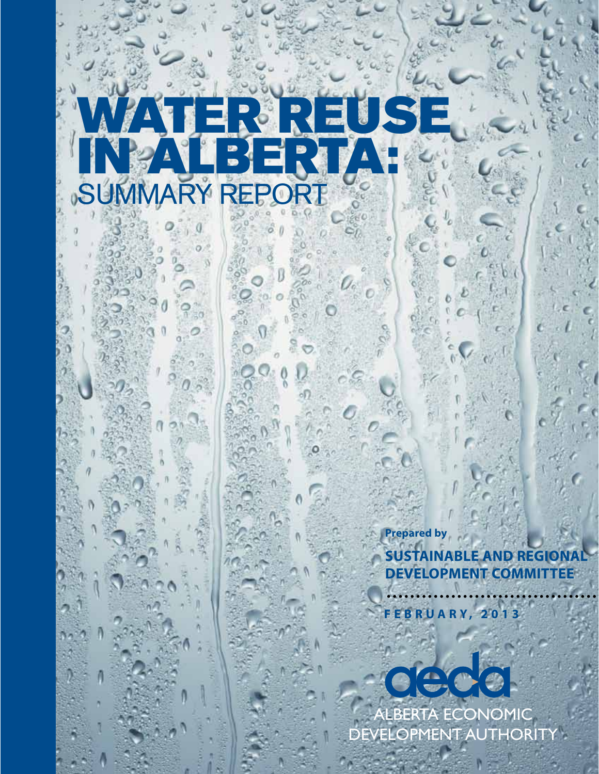**Prepared by SUSTAINABLE AND REGIO DEVELOPMENT COMMITTEE**

**F ebruar y , 2 0 1 3**

WATERREUSE

in Alberta:

Summary Report

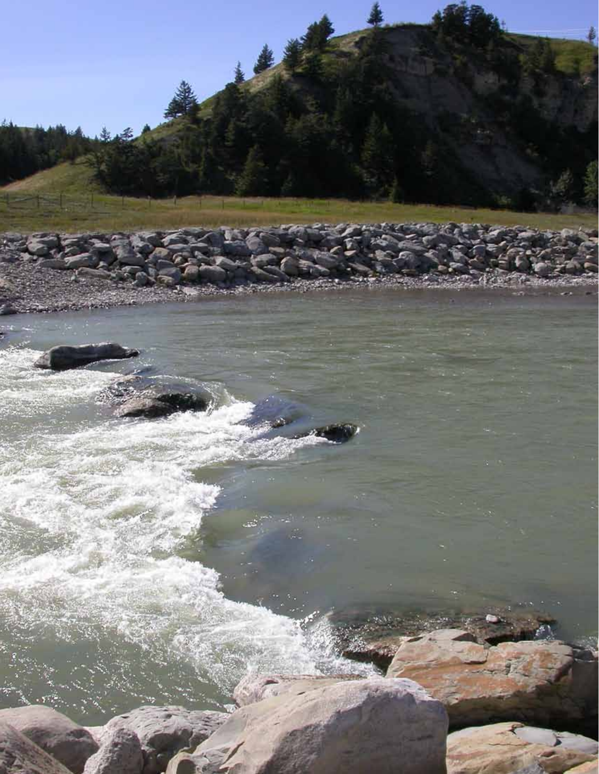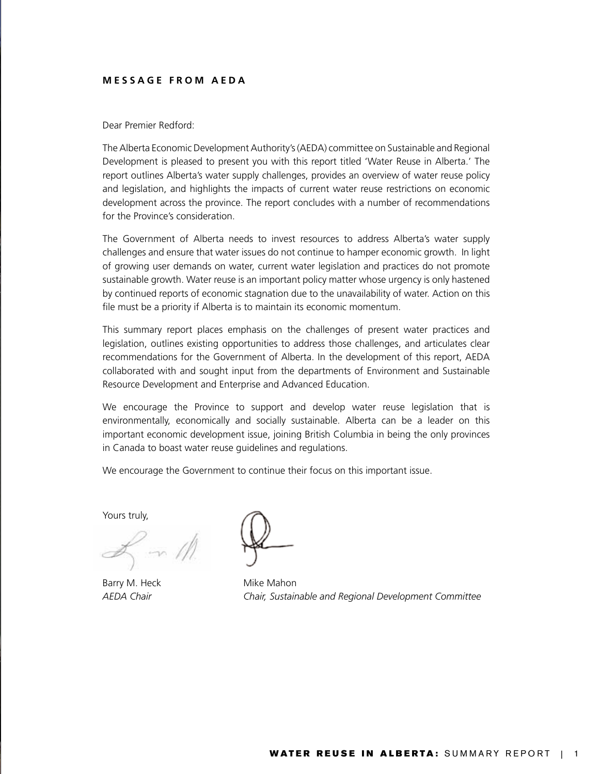#### **M e s s a g e f r o m AE D A**

#### Dear Premier Redford:

The Alberta Economic Development Authority's (AEDA) committee on Sustainable and Regional Development is pleased to present you with this report titled 'Water Reuse in Alberta.' The report outlines Alberta's water supply challenges, provides an overview of water reuse policy and legislation, and highlights the impacts of current water reuse restrictions on economic development across the province. The report concludes with a number of recommendations for the Province's consideration.

The Government of Alberta needs to invest resources to address Alberta's water supply challenges and ensure that water issues do not continue to hamper economic growth. In light of growing user demands on water, current water legislation and practices do not promote sustainable growth. Water reuse is an important policy matter whose urgency is only hastened by continued reports of economic stagnation due to the unavailability of water. Action on this file must be a priority if Alberta is to maintain its economic momentum.

This summary report places emphasis on the challenges of present water practices and legislation, outlines existing opportunities to address those challenges, and articulates clear recommendations for the Government of Alberta. In the development of this report, AEDA collaborated with and sought input from the departments of Environment and Sustainable Resource Development and Enterprise and Advanced Education.

We encourage the Province to support and develop water reuse legislation that is environmentally, economically and socially sustainable. Alberta can be a leader on this important economic development issue, joining British Columbia in being the only provinces in Canada to boast water reuse guidelines and regulations.

We encourage the Government to continue their focus on this important issue.

Yours truly,

 $\mathbb{X} \times \mathbb{N}$ 

Barry M. Heck Mike Mahon

*AEDA Chair Chair, Sustainable and Regional Development Committee*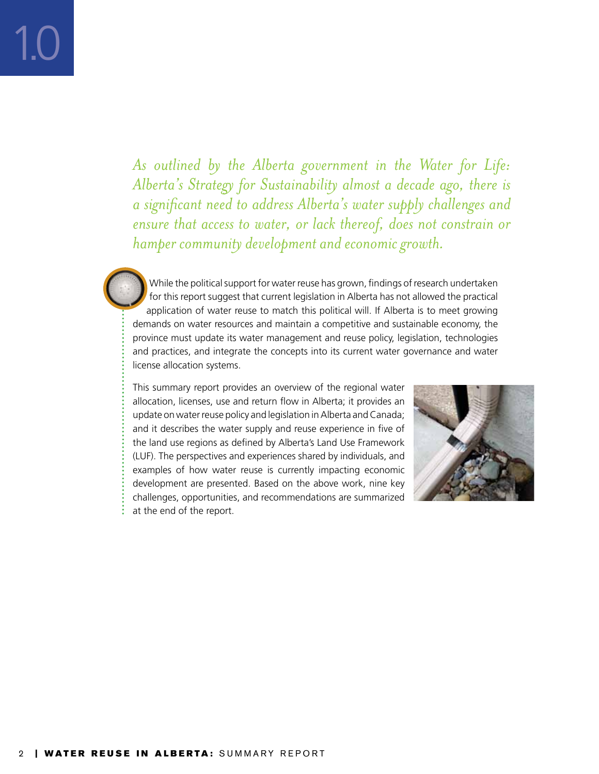# 1.0

*As outlined by the Alberta government in the Water for Life: Alberta's Strategy for Sustainability almost a decade ago, there is a significant need to address Alberta's water supply challenges and ensure that access to water, or lack thereof, does not constrain or hamper community development and economic growth.*

While the political support for water reuse has grown, findings of research undertaken for this report suggest that current legislation in Alberta has not allowed the practical application of water reuse to match this political will. If Alberta is to meet growing demands on water resources and maintain a competitive and sustainable economy, the province must update its water management and reuse policy, legislation, technologies and practices, and integrate the concepts into its current water governance and water license allocation systems.

This summary report provides an overview of the regional water allocation, licenses, use and return flow in Alberta; it provides an update on water reuse policy and legislation in Alberta and Canada; and it describes the water supply and reuse experience in five of the land use regions as defined by Alberta's Land Use Framework (LUF). The perspectives and experiences shared by individuals, and examples of how water reuse is currently impacting economic development are presented. Based on the above work, nine key challenges, opportunities, and recommendations are summarized at the end of the report.

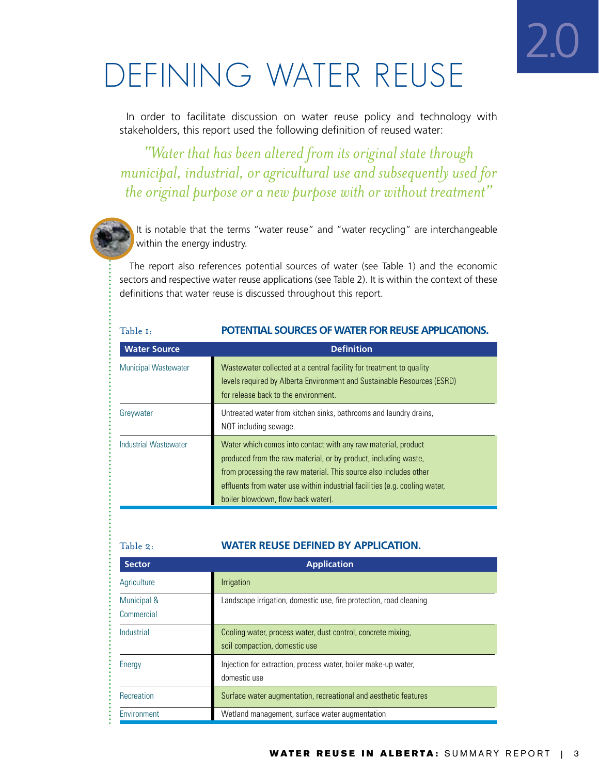## DEFINING WATER REUSE

In order to facilitate discussion on water reuse policy and technology with stakeholders, this report used the following definition of reused water:

*"Water that has been altered from its original state through municipal, industrial, or agricultural use and subsequently used for the original purpose or a new purpose with or without treatment"*

It is notable that the terms "water reuse" and "water recycling" are interchangeable within the energy industry.

The report also references potential sources of water (see Table 1) and the economic sectors and respective water reuse applications (see Table 2). It is within the context of these definitions that water reuse is discussed throughout this report.

| <b>Water Source</b>         | <b>Definition</b>                                                                                                                                                                                                                                                                                                         |
|-----------------------------|---------------------------------------------------------------------------------------------------------------------------------------------------------------------------------------------------------------------------------------------------------------------------------------------------------------------------|
| <b>Municipal Wastewater</b> | Wastewater collected at a central facility for treatment to quality<br>levels required by Alberta Environment and Sustainable Resources (ESRD)<br>for release back to the environment.                                                                                                                                    |
| Greywater                   | Untreated water from kitchen sinks, bathrooms and laundry drains,<br>NOT including sewage.                                                                                                                                                                                                                                |
| Industrial Wastewater       | Water which comes into contact with any raw material, product<br>produced from the raw material, or by-product, including waste,<br>from processing the raw material. This source also includes other<br>effluents from water use within industrial facilities (e.g. cooling water,<br>boiler blowdown, flow back water). |

### Table 1: **Potential sources of water for reuse applications.**

#### Table 2: **WATER REUSE DEFINED BY APPLICATION.**

| <b>Sector</b>             | <b>Application</b>                                                                            |
|---------------------------|-----------------------------------------------------------------------------------------------|
| Agriculture               | <b>Irrigation</b>                                                                             |
| Municipal &<br>Commercial | Landscape irrigation, domestic use, fire protection, road cleaning                            |
| Industrial                | Cooling water, process water, dust control, concrete mixing,<br>soil compaction, domestic use |
| Energy                    | Injection for extraction, process water, boiler make-up water,<br>domestic use                |
| <b>Recreation</b>         | Surface water augmentation, recreational and aesthetic features                               |
| Environment               | Wetland management, surface water augmentation                                                |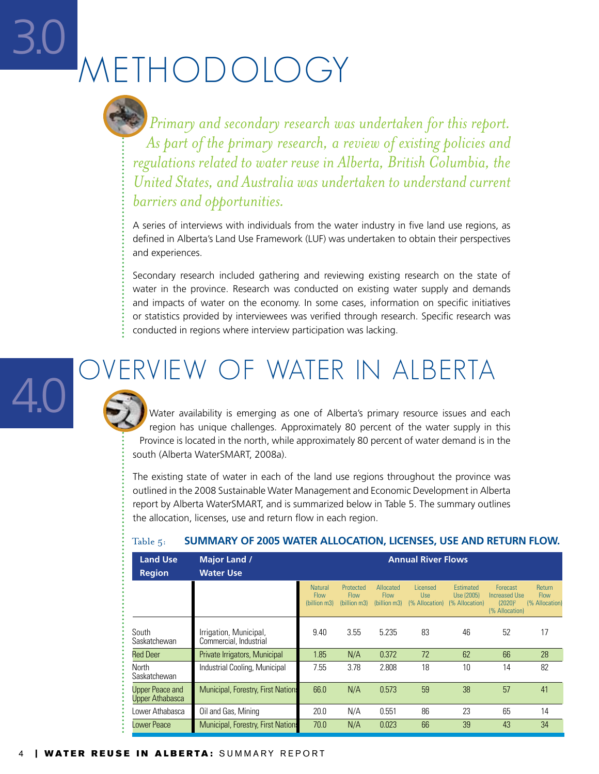## METHODOLOGY 3.0

*Primary and secondary research was undertaken for this report. As part of the primary research, a review of existing policies and regulations related to water reuse in Alberta, British Columbia, the United States, and Australia was undertaken to understand current barriers and opportunities.* 

A series of interviews with individuals from the water industry in five land use regions, as defined in Alberta's Land Use Framework (LUF) was undertaken to obtain their perspectives and experiences.

Secondary research included gathering and reviewing existing research on the state of water in the province. Research was conducted on existing water supply and demands and impacts of water on the economy. In some cases, information on specific initiatives or statistics provided by interviewees was verified through research. Specific research was conducted in regions where interview participation was lacking.

## RVIEW OF WATER IN ALBERTA 4.0

Water availability is emerging as one of Alberta's primary resource issues and each region has unique challenges. Approximately 80 percent of the water supply in this Province is located in the north, while approximately 80 percent of water demand is in the south (Alberta WaterSMART, 2008a).

The existing state of water in each of the land use regions throughout the province was outlined in the 2008 Sustainable Water Management and Economic Development in Alberta report by Alberta WaterSMART, and is summarized below in Table 5. The summary outlines the allocation, licenses, use and return flow in each region.

| <b>Land Use</b><br><b>Region</b>          | <b>Major Land /</b><br><b>Water Use</b>          | <b>Annual River Flows</b>                     |                                          |                                          |                                                 |                                                  |                                                                  |                                         |
|-------------------------------------------|--------------------------------------------------|-----------------------------------------------|------------------------------------------|------------------------------------------|-------------------------------------------------|--------------------------------------------------|------------------------------------------------------------------|-----------------------------------------|
|                                           |                                                  | <b>Natural</b><br><b>Flow</b><br>(billion m3) | Protected<br><b>Flow</b><br>(billion m3) | Allocated<br><b>Flow</b><br>(billion m3) | <b>Licensed</b><br><b>Use</b><br>(% Allocation) | <b>Estimated</b><br>Use (2005)<br>(% Allocation) | Forecast<br><b>Increased Use</b><br>$(2020)^2$<br>(% Allocation) | Return<br><b>Flow</b><br>(% Allocation) |
| South<br>Saskatchewan                     | Irrigation, Municipal,<br>Commercial, Industrial | 9.40                                          | 3.55                                     | 5.235                                    | 83                                              | 46                                               | 52                                                               | 17                                      |
| <b>Red Deer</b>                           | Private Irrigators, Municipal                    | 1.85                                          | N/A                                      | 0.372                                    | 72                                              | 62                                               | 66                                                               | 28                                      |
| <b>North</b><br>Saskatchewan              | Industrial Cooling, Municipal                    | 7.55                                          | 3.78                                     | 2.808                                    | 18                                              | 10                                               | 14                                                               | 82                                      |
| Upper Peace and<br><b>Upper Athabasca</b> | Municipal, Forestry, First Nations               | 66.0                                          | N/A                                      | 0.573                                    | 59                                              | 38                                               | 57                                                               | 41                                      |
| Lower Athabasca                           | Oil and Gas, Mining                              | 20.0                                          | N/A                                      | 0.551                                    | 86                                              | 23                                               | 65                                                               | 14                                      |
| Lower Peace                               | Municipal, Forestry, First Nations               | 70.0                                          | N/A                                      | 0.023                                    | 66                                              | 39                                               | 43                                                               | 34                                      |

#### Table 5: **Summary of 2005 water allocation, licenses, use and return flow.**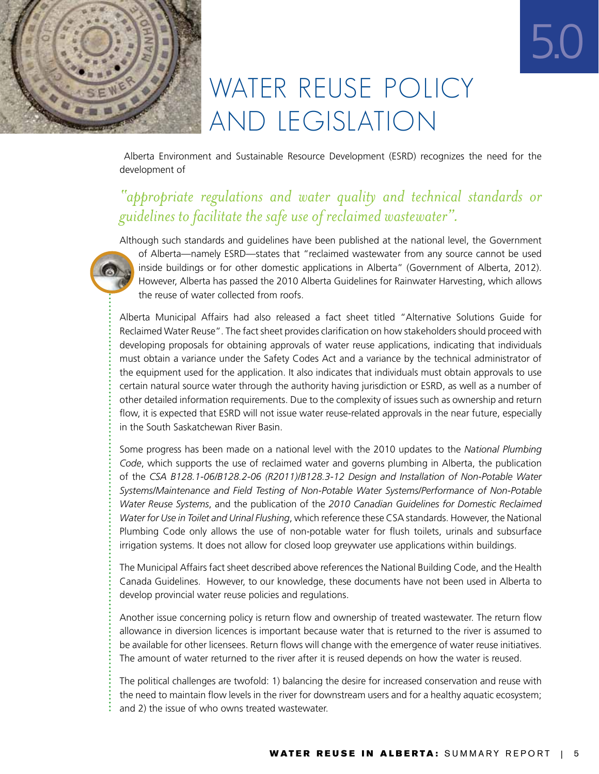

## WATER REUSE POLICY AND LEGISLATION

 Alberta Environment and Sustainable Resource Development (ESRD) recognizes the need for the development of

### *"appropriate regulations and water quality and technical standards or guidelines to facilitate the safe use of reclaimed wastewater".*

Although such standards and guidelines have been published at the national level, the Government of Alberta—namely ESRD—states that "reclaimed wastewater from any source cannot be used inside buildings or for other domestic applications in Alberta" (Government of Alberta, 2012). However, Alberta has passed the 2010 Alberta Guidelines for Rainwater Harvesting, which allows the reuse of water collected from roofs.

Alberta Municipal Affairs had also released a fact sheet titled "Alternative Solutions Guide for Reclaimed Water Reuse". The fact sheet provides clarification on how stakeholders should proceed with developing proposals for obtaining approvals of water reuse applications, indicating that individuals must obtain a variance under the Safety Codes Act and a variance by the technical administrator of the equipment used for the application. It also indicates that individuals must obtain approvals to use certain natural source water through the authority having jurisdiction or ESRD, as well as a number of other detailed information requirements. Due to the complexity of issues such as ownership and return flow, it is expected that ESRD will not issue water reuse-related approvals in the near future, especially in the South Saskatchewan River Basin.

Some progress has been made on a national level with the 2010 updates to the *National Plumbing Code*, which supports the use of reclaimed water and governs plumbing in Alberta, the publication of the *CSA B128.1-06/B128.2-06 (R2011)/B128.3-12 Design and Installation of Non-Potable Water Systems/Maintenance and Field Testing of Non-Potable Water Systems/Performance of Non-Potable Water Reuse Systems*, and the publication of the *2010 Canadian Guidelines for Domestic Reclaimed Water for Use in Toilet and Urinal Flushing*, which reference these CSA standards. However, the National Plumbing Code only allows the use of non-potable water for flush toilets, urinals and subsurface irrigation systems. It does not allow for closed loop greywater use applications within buildings.

The Municipal Affairs fact sheet described above references the National Building Code, and the Health Canada Guidelines. However, to our knowledge, these documents have not been used in Alberta to develop provincial water reuse policies and regulations.

Another issue concerning policy is return flow and ownership of treated wastewater. The return flow allowance in diversion licences is important because water that is returned to the river is assumed to be available for other licensees. Return flows will change with the emergence of water reuse initiatives. The amount of water returned to the river after it is reused depends on how the water is reused.

The political challenges are twofold: 1) balancing the desire for increased conservation and reuse with the need to maintain flow levels in the river for downstream users and for a healthy aquatic ecosystem; and 2) the issue of who owns treated wastewater.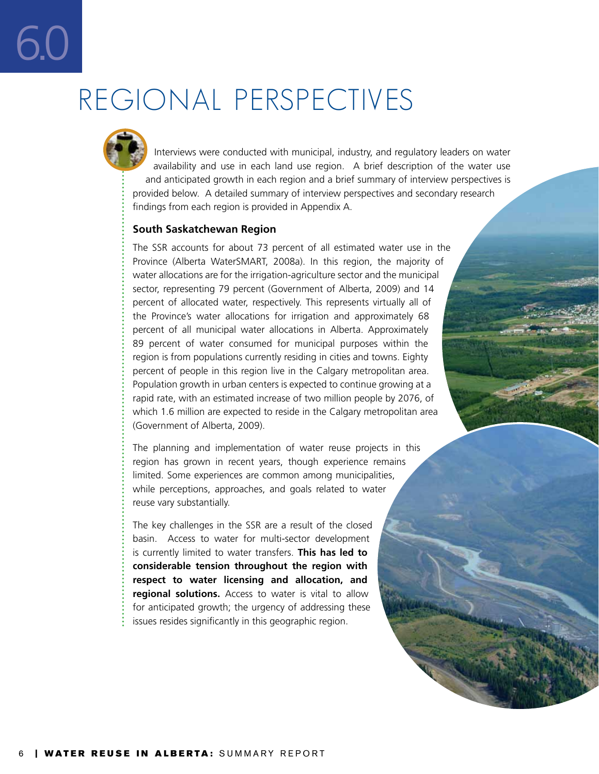# 6.0

## REGIONAL PERSPECTIVES

Interviews were conducted with municipal, industry, and regulatory leaders on water availability and use in each land use region. A brief description of the water use and anticipated growth in each region and a brief summary of interview perspectives is provided below. A detailed summary of interview perspectives and secondary research findings from each region is provided in Appendix A.

#### **South Saskatchewan Region**

The SSR accounts for about 73 percent of all estimated water use in the Province (Alberta WaterSMART, 2008a). In this region, the majority of water allocations are for the irrigation-agriculture sector and the municipal sector, representing 79 percent (Government of Alberta, 2009) and 14 percent of allocated water, respectively. This represents virtually all of the Province's water allocations for irrigation and approximately 68 percent of all municipal water allocations in Alberta. Approximately 89 percent of water consumed for municipal purposes within the region is from populations currently residing in cities and towns. Eighty percent of people in this region live in the Calgary metropolitan area. Population growth in urban centers is expected to continue growing at a rapid rate, with an estimated increase of two million people by 2076, of which 1.6 million are expected to reside in the Calgary metropolitan area (Government of Alberta, 2009).

The planning and implementation of water reuse projects in this region has grown in recent years, though experience remains limited. Some experiences are common among municipalities, while perceptions, approaches, and goals related to water reuse vary substantially.

The key challenges in the SSR are a result of the closed basin. Access to water for multi-sector development is currently limited to water transfers. **This has led to considerable tension throughout the region with respect to water licensing and allocation, and regional solutions.** Access to water is vital to allow for anticipated growth; the urgency of addressing these issues resides significantly in this geographic region.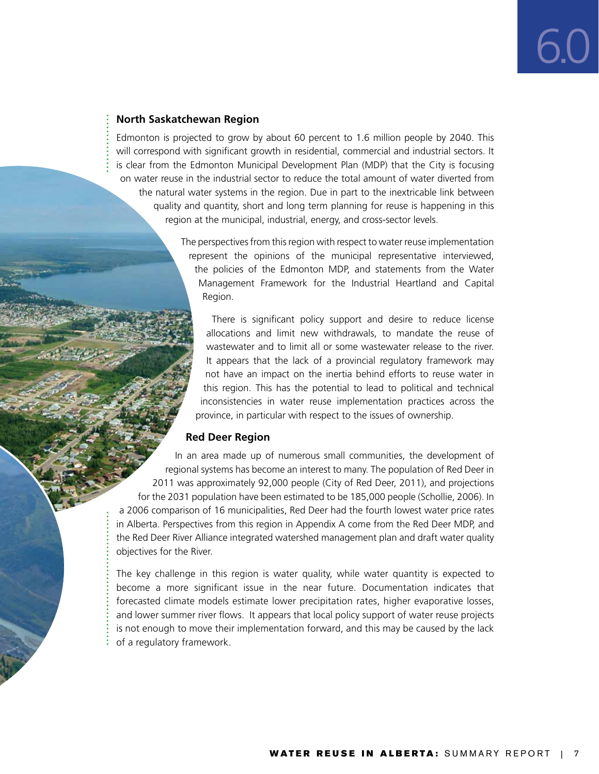#### **North Saskatchewan Region**

Edmonton is projected to grow by about 60 percent to 1.6 million people by 2040. This will correspond with significant growth in residential, commercial and industrial sectors. It is clear from the Edmonton Municipal Development Plan (MDP) that the City is focusing on water reuse in the industrial sector to reduce the total amount of water diverted from the natural water systems in the region. Due in part to the inextricable link between quality and quantity, short and long term planning for reuse is happening in this region at the municipal, industrial, energy, and cross-sector levels.

> The perspectives from this region with respect to water reuse implementation represent the opinions of the municipal representative interviewed, the policies of the Edmonton MDP, and statements from the Water Management Framework for the Industrial Heartland and Capital Region.

 There is significant policy support and desire to reduce license allocations and limit new withdrawals, to mandate the reuse of wastewater and to limit all or some wastewater release to the river. It appears that the lack of a provincial regulatory framework may not have an impact on the inertia behind efforts to reuse water in this region. This has the potential to lead to political and technical inconsistencies in water reuse implementation practices across the province, in particular with respect to the issues of ownership.

#### **Red Deer Region**

In an area made up of numerous small communities, the development of regional systems has become an interest to many. The population of Red Deer in 2011 was approximately 92,000 people (City of Red Deer, 2011), and projections for the 2031 population have been estimated to be 185,000 people (Schollie, 2006). In a 2006 comparison of 16 municipalities, Red Deer had the fourth lowest water price rates in Alberta. Perspectives from this region in Appendix A come from the Red Deer MDP, and the Red Deer River Alliance integrated watershed management plan and draft water quality objectives for the River.

The key challenge in this region is water quality, while water quantity is expected to become a more significant issue in the near future. Documentation indicates that forecasted climate models estimate lower precipitation rates, higher evaporative losses, and lower summer river flows. It appears that local policy support of water reuse projects is not enough to move their implementation forward, and this may be caused by the lack **Solutary framework.**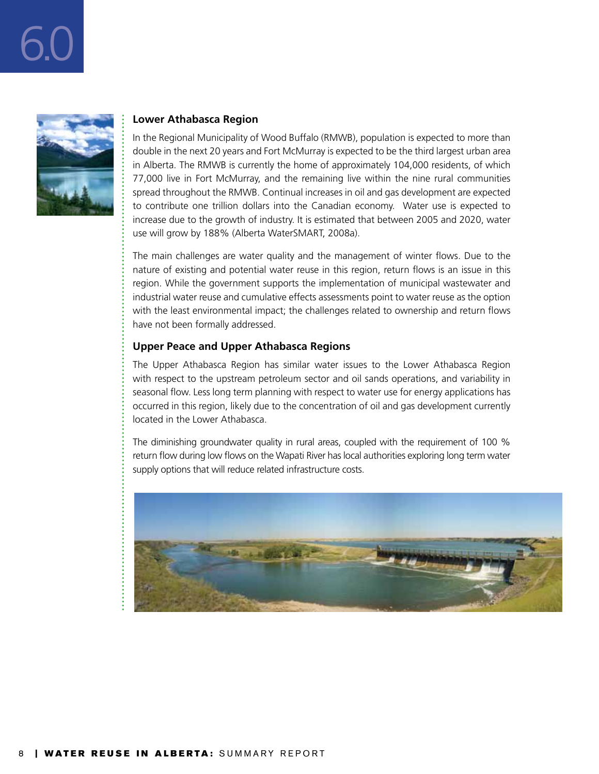

#### **Lower Athabasca Region**

In the Regional Municipality of Wood Buffalo (RMWB), population is expected to more than double in the next 20 years and Fort McMurray is expected to be the third largest urban area in Alberta. The RMWB is currently the home of approximately 104,000 residents, of which 77,000 live in Fort McMurray, and the remaining live within the nine rural communities spread throughout the RMWB. Continual increases in oil and gas development are expected to contribute one trillion dollars into the Canadian economy. Water use is expected to increase due to the growth of industry. It is estimated that between 2005 and 2020, water use will grow by 188% (Alberta WaterSMART, 2008a).

The main challenges are water quality and the management of winter flows. Due to the nature of existing and potential water reuse in this region, return flows is an issue in this region. While the government supports the implementation of municipal wastewater and industrial water reuse and cumulative effects assessments point to water reuse as the option with the least environmental impact; the challenges related to ownership and return flows have not been formally addressed.

#### **Upper Peace and Upper Athabasca Regions**

The Upper Athabasca Region has similar water issues to the Lower Athabasca Region with respect to the upstream petroleum sector and oil sands operations, and variability in seasonal flow. Less long term planning with respect to water use for energy applications has occurred in this region, likely due to the concentration of oil and gas development currently located in the Lower Athabasca.

The diminishing groundwater quality in rural areas, coupled with the requirement of 100 % return flow during low flows on the Wapati River has local authorities exploring long term water supply options that will reduce related infrastructure costs.

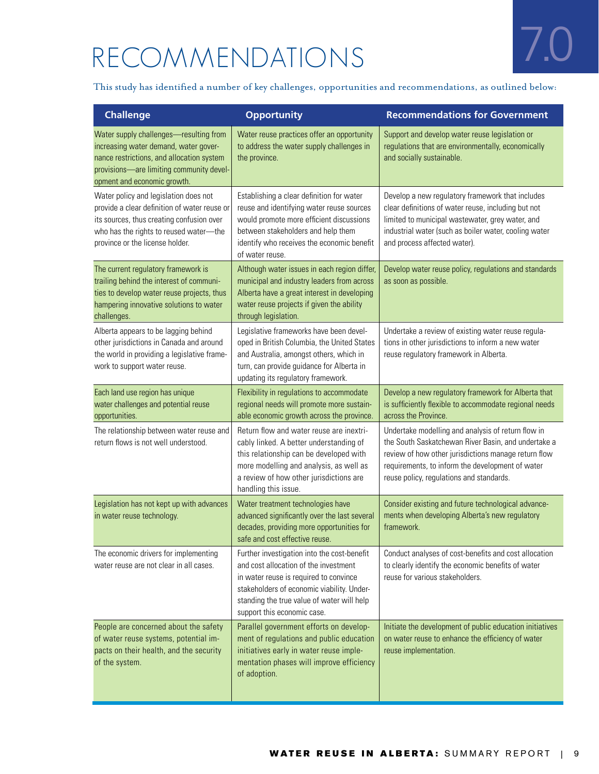## RECOMMENDATIONS

This study has identified a number of key challenges, opportunities and recommendations, as outlined below:

| <b>Challenge</b>                                                                                                                                                                                                | <b>Opportunity</b>                                                                                                                                                                                                                                        | <b>Recommendations for Government</b>                                                                                                                                                                                                                             |
|-----------------------------------------------------------------------------------------------------------------------------------------------------------------------------------------------------------------|-----------------------------------------------------------------------------------------------------------------------------------------------------------------------------------------------------------------------------------------------------------|-------------------------------------------------------------------------------------------------------------------------------------------------------------------------------------------------------------------------------------------------------------------|
| Water supply challenges-resulting from<br>increasing water demand, water gover-<br>nance restrictions, and allocation system<br>provisions-are limiting community devel-<br>opment and economic growth.         | Water reuse practices offer an opportunity<br>to address the water supply challenges in<br>the province.                                                                                                                                                  | Support and develop water reuse legislation or<br>regulations that are environmentally, economically<br>and socially sustainable.                                                                                                                                 |
| Water policy and legislation does not<br>provide a clear definition of water reuse or<br>its sources, thus creating confusion over<br>who has the rights to reused water-the<br>province or the license holder. | Establishing a clear definition for water<br>reuse and identifying water reuse sources<br>would promote more efficient discussions<br>between stakeholders and help them<br>identify who receives the economic benefit<br>of water reuse.                 | Develop a new regulatory framework that includes<br>clear definitions of water reuse, including but not<br>limited to municipal wastewater, grey water, and<br>industrial water (such as boiler water, cooling water<br>and process affected water).              |
| The current regulatory framework is<br>trailing behind the interest of communi-<br>ties to develop water reuse projects, thus<br>hampering innovative solutions to water<br>challenges.                         | Although water issues in each region differ,<br>municipal and industry leaders from across<br>Alberta have a great interest in developing<br>water reuse projects if given the ability<br>through legislation.                                            | Develop water reuse policy, regulations and standards<br>as soon as possible.                                                                                                                                                                                     |
| Alberta appears to be lagging behind<br>other jurisdictions in Canada and around<br>the world in providing a legislative frame-<br>work to support water reuse.                                                 | Legislative frameworks have been devel-<br>oped in British Columbia, the United States<br>and Australia, amongst others, which in<br>turn, can provide guidance for Alberta in<br>updating its regulatory framework.                                      | Undertake a review of existing water reuse regula-<br>tions in other jurisdictions to inform a new water<br>reuse regulatory framework in Alberta.                                                                                                                |
| Each land use region has unique<br>water challenges and potential reuse<br>opportunities.                                                                                                                       | Flexibility in regulations to accommodate<br>regional needs will promote more sustain-<br>able economic growth across the province.                                                                                                                       | Develop a new regulatory framework for Alberta that<br>is sufficiently flexible to accommodate regional needs<br>across the Province.                                                                                                                             |
| The relationship between water reuse and<br>return flows is not well understood.                                                                                                                                | Return flow and water reuse are inextri-<br>cably linked. A better understanding of<br>this relationship can be developed with<br>more modelling and analysis, as well as<br>a review of how other jurisdictions are<br>handling this issue.              | Undertake modelling and analysis of return flow in<br>the South Saskatchewan River Basin, and undertake a<br>review of how other jurisdictions manage return flow<br>requirements, to inform the development of water<br>reuse policy, regulations and standards. |
| Legislation has not kept up with advances<br>in water reuse technology.                                                                                                                                         | Water treatment technologies have<br>advanced significantly over the last several<br>decades, providing more opportunities for<br>safe and cost effective reuse.                                                                                          | Consider existing and future technological advance-<br>ments when developing Alberta's new regulatory<br>framework.                                                                                                                                               |
| The economic drivers for implementing<br>water reuse are not clear in all cases.                                                                                                                                | Further investigation into the cost-benefit<br>and cost allocation of the investment<br>in water reuse is required to convince<br>stakeholders of economic viability. Under-<br>standing the true value of water will help<br>support this economic case. | Conduct analyses of cost-benefits and cost allocation<br>to clearly identify the economic benefits of water<br>reuse for various stakeholders.                                                                                                                    |
| People are concerned about the safety<br>of water reuse systems, potential im-<br>pacts on their health, and the security<br>of the system.                                                                     | Parallel government efforts on develop-<br>ment of regulations and public education<br>initiatives early in water reuse imple-<br>mentation phases will improve efficiency<br>of adoption.                                                                | Initiate the development of public education initiatives<br>on water reuse to enhance the efficiency of water<br>reuse implementation.                                                                                                                            |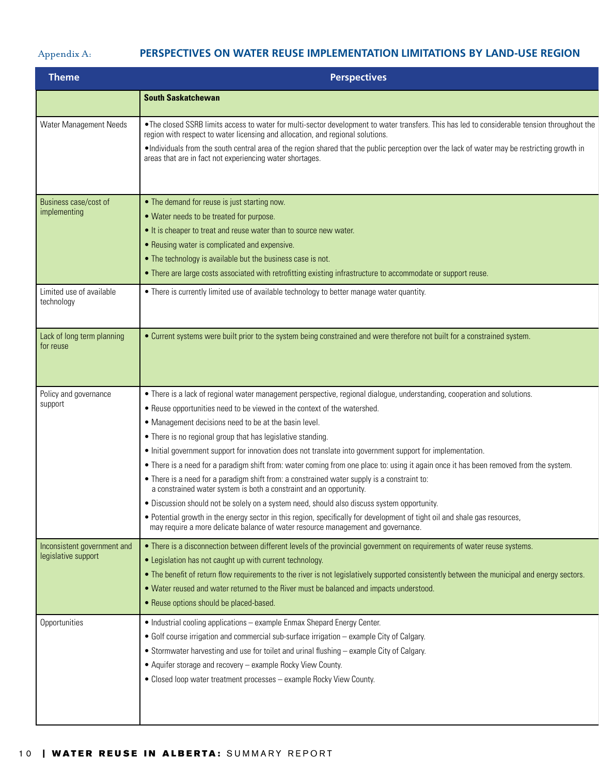#### Appendix A: **Perspectives on water reuse implementation limitations by Land-use Region**

| <b>Theme</b>                            | <b>Perspectives</b>                                                                                                                                                                                                             |
|-----------------------------------------|---------------------------------------------------------------------------------------------------------------------------------------------------------------------------------------------------------------------------------|
|                                         | <b>South Saskatchewan</b>                                                                                                                                                                                                       |
| Water Management Needs                  | . The closed SSRB limits access to water for multi-sector development to water transfers. This has led to considerable tension throughout the<br>region with respect to water licensing and allocation, and regional solutions. |
|                                         | . Individuals from the south central area of the region shared that the public perception over the lack of water may be restricting growth in<br>areas that are in fact not experiencing water shortages.                       |
|                                         |                                                                                                                                                                                                                                 |
| Business case/cost of<br>implementing   | • The demand for reuse is just starting now.                                                                                                                                                                                    |
|                                         | • Water needs to be treated for purpose.                                                                                                                                                                                        |
|                                         | • It is cheaper to treat and reuse water than to source new water.                                                                                                                                                              |
|                                         | • Reusing water is complicated and expensive.                                                                                                                                                                                   |
|                                         | • The technology is available but the business case is not.                                                                                                                                                                     |
|                                         | . There are large costs associated with retrofitting existing infrastructure to accommodate or support reuse.                                                                                                                   |
| Limited use of available<br>technology  | • There is currently limited use of available technology to better manage water quantity.                                                                                                                                       |
| Lack of long term planning<br>for reuse | • Current systems were built prior to the system being constrained and were therefore not built for a constrained system.                                                                                                       |
| Policy and governance                   | . There is a lack of regional water management perspective, regional dialogue, understanding, cooperation and solutions.                                                                                                        |
| support                                 | • Reuse opportunities need to be viewed in the context of the watershed.                                                                                                                                                        |
|                                         | • Management decisions need to be at the basin level.                                                                                                                                                                           |
|                                         | • There is no regional group that has legislative standing.                                                                                                                                                                     |
|                                         | • Initial government support for innovation does not translate into government support for implementation.                                                                                                                      |
|                                         | • There is a need for a paradigm shift from: water coming from one place to: using it again once it has been removed from the system.                                                                                           |
|                                         | • There is a need for a paradigm shift from: a constrained water supply is a constraint to:<br>a constrained water system is both a constraint and an opportunity.                                                              |
|                                         | · Discussion should not be solely on a system need, should also discuss system opportunity.                                                                                                                                     |
|                                         | . Potential growth in the energy sector in this region, specifically for development of tight oil and shale gas resources,<br>may require a more delicate balance of water resource management and governance.                  |
| Inconsistent government and             | • There is a disconnection between different levels of the provincial government on requirements of water reuse systems.                                                                                                        |
| legislative support                     | • Legislation has not caught up with current technology.                                                                                                                                                                        |
|                                         | . The benefit of return flow requirements to the river is not legislatively supported consistently between the municipal and energy sectors.                                                                                    |
|                                         | • Water reused and water returned to the River must be balanced and impacts understood.                                                                                                                                         |
|                                         | • Reuse options should be placed-based.                                                                                                                                                                                         |
| Opportunities                           | • Industrial cooling applications - example Enmax Shepard Energy Center.                                                                                                                                                        |
|                                         | • Golf course irrigation and commercial sub-surface irrigation - example City of Calgary.                                                                                                                                       |
|                                         | • Stormwater harvesting and use for toilet and urinal flushing - example City of Calgary.                                                                                                                                       |
|                                         | • Aquifer storage and recovery - example Rocky View County.                                                                                                                                                                     |
|                                         | • Closed loop water treatment processes - example Rocky View County.                                                                                                                                                            |
|                                         |                                                                                                                                                                                                                                 |
|                                         |                                                                                                                                                                                                                                 |
|                                         |                                                                                                                                                                                                                                 |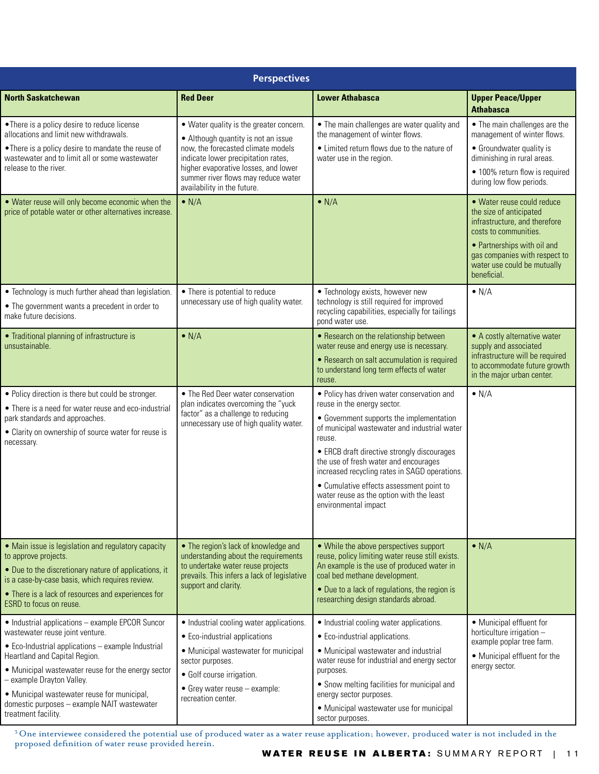| <b>Perspectives</b>                                                                                                                                                                                                                                                                                                                                                                |                                                                                                                                                                                                                                                                           |                                                                                                                                                                                                                                                                                                                                                                                                                                          |                                                                                                                                                                                                                               |
|------------------------------------------------------------------------------------------------------------------------------------------------------------------------------------------------------------------------------------------------------------------------------------------------------------------------------------------------------------------------------------|---------------------------------------------------------------------------------------------------------------------------------------------------------------------------------------------------------------------------------------------------------------------------|------------------------------------------------------------------------------------------------------------------------------------------------------------------------------------------------------------------------------------------------------------------------------------------------------------------------------------------------------------------------------------------------------------------------------------------|-------------------------------------------------------------------------------------------------------------------------------------------------------------------------------------------------------------------------------|
| <b>North Saskatchewan</b>                                                                                                                                                                                                                                                                                                                                                          | <b>Red Deer</b>                                                                                                                                                                                                                                                           | <b>Lower Athabasca</b>                                                                                                                                                                                                                                                                                                                                                                                                                   | <b>Upper Peace/Upper</b><br><b>Athabasca</b>                                                                                                                                                                                  |
| • There is a policy desire to reduce license<br>allocations and limit new withdrawals.<br>• There is a policy desire to mandate the reuse of<br>wastewater and to limit all or some wastewater<br>release to the river.                                                                                                                                                            | • Water quality is the greater concern.<br>• Although quantity is not an issue<br>now, the forecasted climate models<br>indicate lower precipitation rates,<br>higher evaporative losses, and lower<br>summer river flows may reduce water<br>availability in the future. | • The main challenges are water quality and<br>the management of winter flows.<br>• Limited return flows due to the nature of<br>water use in the region.                                                                                                                                                                                                                                                                                | • The main challenges are the<br>management of winter flows.<br>• Groundwater quality is<br>diminishing in rural areas.<br>• 100% return flow is required<br>during low flow periods.                                         |
| • Water reuse will only become economic when the<br>price of potable water or other alternatives increase.                                                                                                                                                                                                                                                                         | $\bullet$ N/A                                                                                                                                                                                                                                                             | $\bullet$ N/A                                                                                                                                                                                                                                                                                                                                                                                                                            | • Water reuse could reduce<br>the size of anticipated<br>infrastructure, and therefore<br>costs to communities.<br>• Partnerships with oil and<br>gas companies with respect to<br>water use could be mutually<br>beneficial. |
| • Technology is much further ahead than legislation<br>• The government wants a precedent in order to<br>make future decisions.                                                                                                                                                                                                                                                    | • There is potential to reduce<br>unnecessary use of high quality water.                                                                                                                                                                                                  | • Technology exists, however new<br>technology is still required for improved<br>recycling capabilities, especially for tailings<br>pond water use.                                                                                                                                                                                                                                                                                      | $\bullet$ N/A                                                                                                                                                                                                                 |
| • Traditional planning of infrastructure is<br>unsustainable                                                                                                                                                                                                                                                                                                                       | $\bullet$ N/A                                                                                                                                                                                                                                                             | • Research on the relationship between<br>water reuse and energy use is necessary.<br>• Research on salt accumulation is required<br>to understand long term effects of water<br>reuse.                                                                                                                                                                                                                                                  | • A costly alternative water<br>supply and associated<br>infrastructure will be required<br>to accommodate future growth<br>in the major urban center.                                                                        |
| • Policy direction is there but could be stronger.<br>• There is a need for water reuse and eco-industrial<br>park standards and approaches.<br>• Clarity on ownership of source water for reuse is<br>necessary.                                                                                                                                                                  | • The Red Deer water conservation<br>plan indicates overcoming the "yuck<br>factor" as a challenge to reducing<br>unnecessary use of high quality water.                                                                                                                  | • Policy has driven water conservation and<br>reuse in the energy sector.<br>• Government supports the implementation<br>of municipal wastewater and industrial water<br>reuse.<br>• ERCB draft directive strongly discourages<br>the use of fresh water and encourages<br>increased recycling rates in SAGD operations.<br>• Cumulative effects assessment point to<br>water reuse as the option with the least<br>environmental impact | $\bullet$ N/A                                                                                                                                                                                                                 |
| • Main issue is legislation and regulatory capacity<br>to approve projects.<br>• Due to the discretionary nature of applications, it<br>is a case-by-case basis, which requires review.<br>• There is a lack of resources and experiences for<br>ESRD to focus on reuse.                                                                                                           | • The region's lack of knowledge and<br>understanding about the requirements<br>to undertake water reuse projects<br>prevails. This infers a lack of legislative<br>support and clarity.                                                                                  | • While the above perspectives support<br>reuse, policy limiting water reuse still exists.<br>An example is the use of produced water in<br>coal bed methane development.<br>• Due to a lack of regulations, the region is<br>researching design standards abroad.                                                                                                                                                                       | $\bullet$ N/A                                                                                                                                                                                                                 |
| • Industrial applications – example EPCOR Suncor<br>wastewater reuse joint venture.<br>• Eco-Industrial applications - example Industrial<br>Heartland and Capital Region.<br>• Municipal wastewater reuse for the energy sector<br>- example Drayton Valley.<br>• Municipal wastewater reuse for municipal,<br>domestic purposes - example NAIT wastewater<br>treatment facility. | • Industrial cooling water applications.<br>• Eco-industrial applications<br>• Municipal wastewater for municipal<br>sector purposes.<br>• Golf course irrigation.<br>$\bullet$ Grey water reuse $-$ example:<br>recreation center.                                       | • Industrial cooling water applications.<br>• Eco-industrial applications.<br>• Municipal wastewater and industrial<br>water reuse for industrial and energy sector<br>purposes.<br>• Snow melting facilities for municipal and<br>energy sector purposes.<br>• Municipal wastewater use for municipal<br>sector purposes.                                                                                                               | • Municipal effluent for<br>horticulture irrigation -<br>example poplar tree farm.<br>• Municipal effluent for the<br>energy sector.                                                                                          |

 $^3$  One interviewee considered the potential use of produced water as a water reuse application; however, produced water is not included in the proposed definition of water reuse provided herein.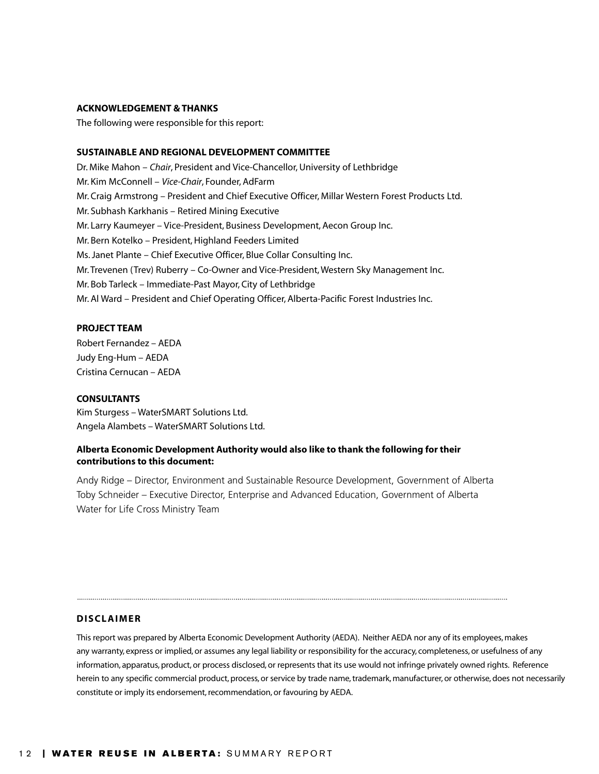#### **Acknowledgement & Thanks**

The following were responsible for this report:

#### **Sustainable and Regional Development Committee**

Dr. Mike Mahon – *Chair*, President and Vice-Chancellor, University of Lethbridge Mr. Kim McConnell – *Vice-Chair*, Founder, AdFarm Mr. Craig Armstrong – President and Chief Executive Officer, Millar Western Forest Products Ltd. Mr. Subhash Karkhanis – Retired Mining Executive Mr. Larry Kaumeyer – Vice-President, Business Development, Aecon Group Inc. Mr. Bern Kotelko – President, Highland Feeders Limited Ms. Janet Plante – Chief Executive Officer, Blue Collar Consulting Inc. Mr. Trevenen (Trev) Ruberry – Co-Owner and Vice-President, Western Sky Management Inc. Mr. Bob Tarleck – Immediate-Past Mayor, City of Lethbridge Mr. Al Ward – President and Chief Operating Officer, Alberta-Pacific Forest Industries Inc.

#### **Project Team**

Robert Fernandez – AEDA Judy Eng-Hum – AEDA Cristina Cernucan – AEDA

#### **Consultants**

Kim Sturgess – WaterSMART Solutions Ltd. Angela Alambets – WaterSMART Solutions Ltd.

#### **Alberta Economic Development Authority would also like to thank the following for their contributions to this document:**

Andy Ridge – Director, Environment and Sustainable Resource Development, Government of Alberta Toby Schneider – Executive Director, Enterprise and Advanced Education, Government of Alberta Water for Life Cross Ministry Team

#### **Disclaimer**

This report was prepared by Alberta Economic Development Authority (AEDA). Neither AEDA nor any of its employees, makes any warranty, express or implied, or assumes any legal liability or responsibility for the accuracy, completeness, or usefulness of any information, apparatus, product, or process disclosed, or represents that its use would not infringe privately owned rights. Reference herein to any specific commercial product, process, or service by trade name, trademark, manufacturer, or otherwise, does not necessarily constitute or imply its endorsement, recommendation, or favouring by AEDA.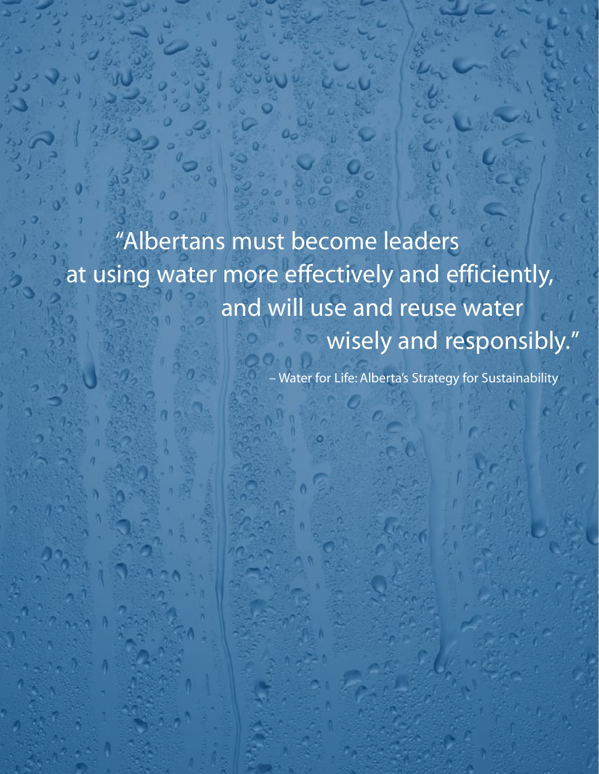"Albertans must become leaders at using water more effectively and efficiently, and will use and reuse water wisely and responsibly."

– Water for Life: Alberta's Strategy for Sustainability

W a t e r R e u m a l b e r a t a i n a r y R e p o r a r y R e p o r t a i d a r y r y r y R e p o r t i n a